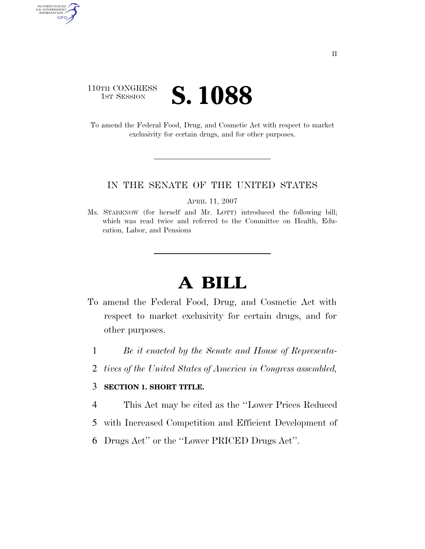### 110TH CONGRESS **IST SESSION S. 1088**

AUTHENTICATED<br>U.S. GOVERNMENT<br>INFORMATION GPO

> To amend the Federal Food, Drug, and Cosmetic Act with respect to market exclusivity for certain drugs, and for other purposes.

#### IN THE SENATE OF THE UNITED STATES

APRIL 11, 2007

Ms. STABENOW (for herself and Mr. LOTT) introduced the following bill; which was read twice and referred to the Committee on Health, Education, Labor, and Pensions

# **A BILL**

- To amend the Federal Food, Drug, and Cosmetic Act with respect to market exclusivity for certain drugs, and for other purposes.
	- 1 *Be it enacted by the Senate and House of Representa-*
	- 2 *tives of the United States of America in Congress assembled,*

#### 3 **SECTION 1. SHORT TITLE.**

- 4 This Act may be cited as the ''Lower Prices Reduced
- 5 with Increased Competition and Efficient Development of
- 6 Drugs Act'' or the ''Lower PRICED Drugs Act''.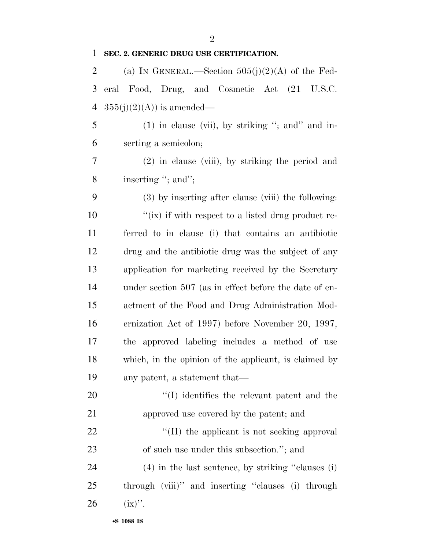| $\mathbf{1}$   | SEC. 2. GENERIC DRUG USE CERTIFICATION.                |
|----------------|--------------------------------------------------------|
| $\overline{2}$ | (a) IN GENERAL.—Section $505(j)(2)(A)$ of the Fed-     |
| 3              | eral Food, Drug, and Cosmetic Act (21 U.S.C.           |
| 4              | $355(j)(2)(A)$ is amended—                             |
| 5              | $(1)$ in clause (vii), by striking "; and" and in-     |
| 6              | serting a semicolon;                                   |
| 7              | $(2)$ in clause (viii), by striking the period and     |
| 8              | inserting "; and";                                     |
| 9              | (3) by inserting after clause (viii) the following:    |
| 10             | "(ix) if with respect to a listed drug product re-     |
| 11             | ferred to in clause (i) that contains an antibiotic    |
| 12             | drug and the antibiotic drug was the subject of any    |
| 13             | application for marketing received by the Secretary    |
| 14             | under section 507 (as in effect before the date of en- |
| 15             | actment of the Food and Drug Administration Mod-       |
| 16             | ernization Act of 1997) before November 20, 1997,      |
| 17             | the approved labeling includes a method of use         |
| 18             | which, in the opinion of the applicant, is claimed by  |
| 19             | any patent, a statement that—                          |
| 20             | $\lq\lq$ identifies the relevant patent and the        |
| 21             | approved use covered by the patent; and                |
| 22             | "(II) the applicant is not seeking approval            |
| 23             | of such use under this subsection."; and               |
| 24             | $(4)$ in the last sentence, by striking "clauses (i)   |
| 25             | through (viii)" and inserting "clauses (i) through     |
| 26             | $(ix)$ ".                                              |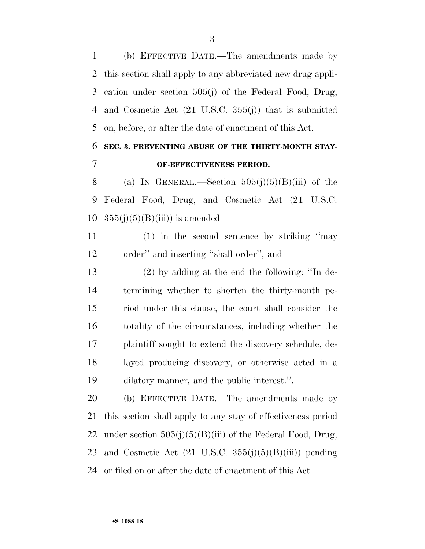(b) EFFECTIVE DATE.—The amendments made by this section shall apply to any abbreviated new drug appli- cation under section 505(j) of the Federal Food, Drug, and Cosmetic Act (21 U.S.C. 355(j)) that is submitted on, before, or after the date of enactment of this Act.

## **SEC. 3. PREVENTING ABUSE OF THE THIRTY-MONTH STAY-OF-EFFECTIVENESS PERIOD.**

8 (a) IN GENERAL.—Section  $505(j)(5)(B)(iii)$  of the Federal Food, Drug, and Cosmetic Act (21 U.S.C. 10  $355(j)(5)(B(iii))$  is amended—

 (1) in the second sentence by striking ''may order'' and inserting ''shall order''; and

 (2) by adding at the end the following: ''In de- termining whether to shorten the thirty-month pe- riod under this clause, the court shall consider the totality of the circumstances, including whether the plaintiff sought to extend the discovery schedule, de- layed producing discovery, or otherwise acted in a dilatory manner, and the public interest.''.

 (b) EFFECTIVE DATE.—The amendments made by this section shall apply to any stay of effectiveness period 22 under section  $505(j)(5)(B(iii))$  of the Federal Food, Drug, 23 and Cosmetic Act  $(21 \text{ U.S.C. } 355(j)(5)(B(iii))$  pending or filed on or after the date of enactment of this Act.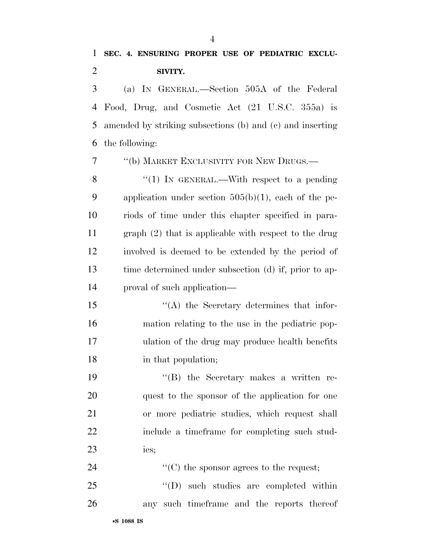(a) IN GENERAL.—Section 505A of the Federal Food, Drug, and Cosmetic Act (21 U.S.C. 355a) is amended by striking subsections (b) and (c) and inserting the following:

7 <sup>''</sup>(b) MARKET EXCLUSIVITY FOR NEW DRUGS.—

8 "(1) In GENERAL.—With respect to a pending application under section 505(b)(1), each of the pe- riods of time under this chapter specified in para- graph (2) that is applicable with respect to the drug involved is deemed to be extended by the period of time determined under subsection (d) if, prior to ap-proval of such application—

 ''(A) the Secretary determines that infor- mation relating to the use in the pediatric pop- ulation of the drug may produce health benefits in that population;

 ''(B) the Secretary makes a written re- quest to the sponsor of the application for one or more pediatric studies, which request shall include a timeframe for completing such stud-ies;

24  $\cdot$  (C) the sponsor agrees to the request;

25 "'(D) such studies are completed within any such timeframe and the reports thereof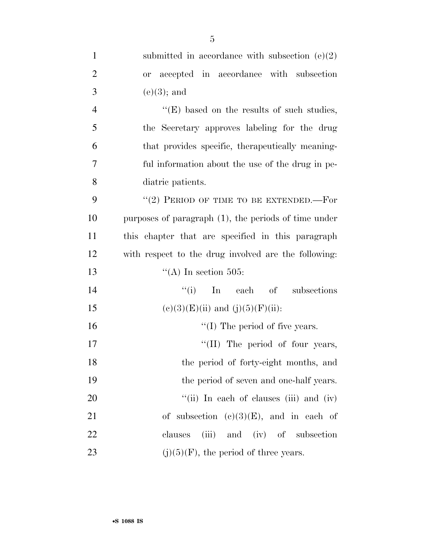| $\mathbf{1}$   | submitted in accordance with subsection $(e)(2)$        |
|----------------|---------------------------------------------------------|
| $\overline{2}$ | or accepted in accordance with subsection               |
| 3              | $(e)(3)$ ; and                                          |
| $\overline{4}$ | $\lq\lq(E)$ based on the results of such studies,       |
| 5              | the Secretary approves labeling for the drug            |
| 6              | that provides specific, therapeutically meaning-        |
| 7              | ful information about the use of the drug in pe-        |
| 8              | diatric patients.                                       |
| 9              | "(2) PERIOD OF TIME TO BE EXTENDED.—For                 |
| 10             | purposes of paragraph $(1)$ , the periods of time under |
| 11             | this chapter that are specified in this paragraph       |
| 12             | with respect to the drug involved are the following:    |
| 13             | "(A) In section 505:                                    |
| 14             | ``(i)<br>In<br>each of subsections                      |
| 15             | $(e)(3)(E)(ii)$ and $(j)(5)(F)(ii)$ :                   |
| 16             | $\lq\lq$ (I) The period of five years.                  |
| 17             | "(II) The period of four years,                         |
| 18             | the period of forty-eight months, and                   |
| 19             | the period of seven and one-half years.                 |
| 20             | "(ii) In each of clauses (iii) and (iv)                 |
| 21             | of subsection $(e)(3)(E)$ , and in each of              |
| 22             | (iii) and (iv) of subsection<br>clauses                 |
| 23             | $(j)(5)(F)$ , the period of three years.                |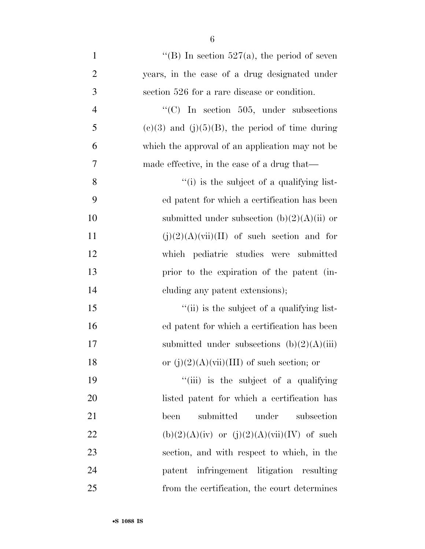| $\mathbf{1}$   | "(B) In section $527(a)$ , the period of seven       |
|----------------|------------------------------------------------------|
| $\overline{2}$ | years, in the case of a drug designated under        |
| 3              | section 526 for a rare disease or condition.         |
| $\overline{4}$ | "(C) In section 505, under subsections               |
| 5              | $(c)(3)$ and $(j)(5)(B)$ , the period of time during |
| 6              | which the approval of an application may not be      |
| 7              | made effective, in the case of a drug that—          |
| 8              | "(i) is the subject of a qualifying list-            |
| 9              | ed patent for which a certification has been         |
| 10             | submitted under subsection $(b)(2)(A)(ii)$ or        |
| 11             | $(j)(2)(A)(vii)(II)$ of such section and for         |
| 12             | which pediatric studies were submitted               |
| 13             | prior to the expiration of the patent (in-           |
| 14             | cluding any patent extensions);                      |
| 15             | "(ii) is the subject of a qualifying list-           |
| 16             | ed patent for which a certification has been         |
| 17             | submitted under subsections $(b)(2)(A)(iii)$         |
| 18             | or $(j)(2)(A)(vii)(III)$ of such section; or         |
| 19             | "(iii) is the subject of a qualifying                |
| 20             | listed patent for which a certification has          |
| 21             | under<br>submitted<br>subsection<br>been             |
| 22             | $(b)(2)(A)(iv)$ or $(j)(2)(A)(vii)(IV)$ of such      |
| 23             | section, and with respect to which, in the           |
| 24             | patent infringement litigation resulting             |
| 25             | from the certification, the court determines         |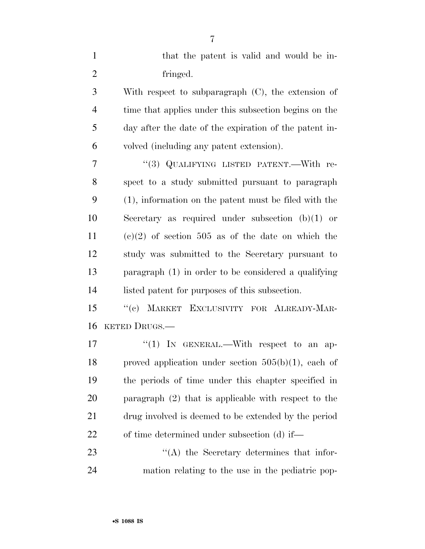| $\mathbf{1}$   | that the patent is valid and would be in-                |
|----------------|----------------------------------------------------------|
| $\overline{2}$ | fringed.                                                 |
| 3              | With respect to subparagraph (C), the extension of       |
| $\overline{4}$ | time that applies under this subsection begins on the    |
| 5              | day after the date of the expiration of the patent in-   |
| 6              | volved (including any patent extension).                 |
| 7              | "(3) QUALIFYING LISTED PATENT.—With re-                  |
| 8              | spect to a study submitted pursuant to paragraph         |
| 9              | $(1)$ , information on the patent must be filed with the |
| 10             | Secretary as required under subsection $(b)(1)$ or       |
| 11             | $(e)(2)$ of section 505 as of the date on which the      |
| 12             | study was submitted to the Secretary pursuant to         |
| 13             | paragraph $(1)$ in order to be considered a qualifying   |
| 14             | listed patent for purposes of this subsection.           |
| 15             | "(c) MARKET EXCLUSIVITY FOR ALREADY-MAR-                 |
| 16             | KETED DRUGS.—                                            |
| 17             | "(1) IN GENERAL.—With respect to an ap-                  |
| 18             | proved application under section $505(b)(1)$ , each of   |
| 19             | the periods of time under this chapter specified in      |
| 20             | paragraph $(2)$ that is applicable with respect to the   |
| 21             | drug involved is deemed to be extended by the period     |
| 22             | of time determined under subsection (d) if—              |
| 23             | $\lq\lq$ the Secretary determines that infor-            |
| 24             | mation relating to the use in the pediatric pop-         |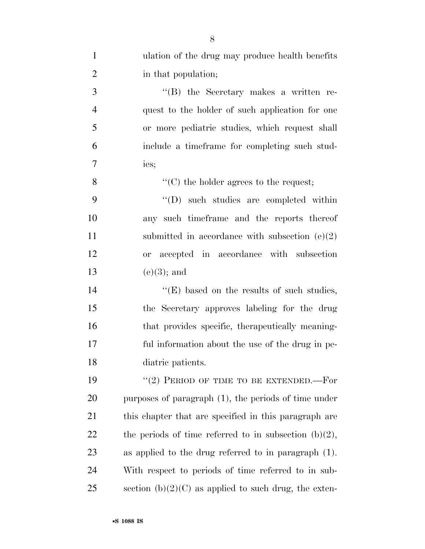| $\mathbf{1}$   | ulation of the drug may produce health benefits          |
|----------------|----------------------------------------------------------|
| $\overline{2}$ | in that population;                                      |
| 3              | "(B) the Secretary makes a written re-                   |
| $\overline{4}$ | quest to the holder of such application for one          |
| 5              | or more pediatric studies, which request shall           |
| 6              | include a timeframe for completing such stud-            |
| 7              | ies;                                                     |
| 8              | $\lq\lq$ (C) the holder agrees to the request;           |
| 9              | $\lq\lq$ (D) such studies are completed within           |
| 10             | any such timeframe and the reports thereof               |
| 11             | submitted in accordance with subsection $(e)(2)$         |
| 12             | or accepted in accordance with subsection                |
| 13             | $(e)(3)$ ; and                                           |
| 14             | "(E) based on the results of such studies,               |
| 15             | the Secretary approves labeling for the drug             |
| 16             | that provides specific, therapeutically meaning-         |
| 17             | ful information about the use of the drug in pe-         |
| 18             | diatric patients.                                        |
| 19             | "(2) PERIOD OF TIME TO BE EXTENDED.—For                  |
| 20             | purposes of paragraph $(1)$ , the periods of time under  |
| 21             | this chapter that are specified in this paragraph are    |
| 22             | the periods of time referred to in subsection $(b)(2)$ , |
| 23             | as applied to the drug referred to in paragraph $(1)$ .  |
| 24             | With respect to periods of time referred to in sub-      |
| 25             | section $(b)(2)(C)$ as applied to such drug, the exten-  |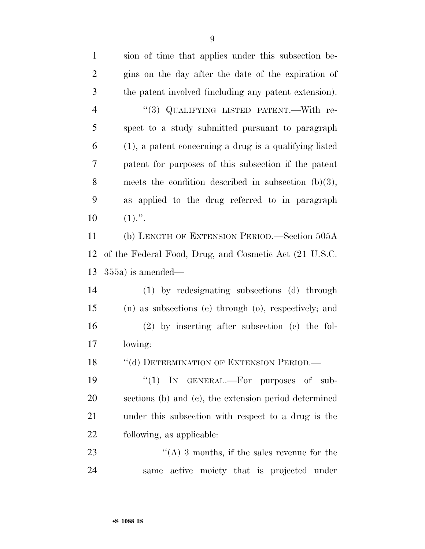sion of time that applies under this subsection be- gins on the day after the date of the expiration of the patent involved (including any patent extension). 4 "(3) QUALIFYING LISTED PATENT.—With re- spect to a study submitted pursuant to paragraph (1), a patent concerning a drug is a qualifying listed patent for purposes of this subsection if the patent meets the condition described in subsection (b)(3), as applied to the drug referred to in paragraph  $10 \t(1)."$ . (b) LENGTH OF EXTENSION PERIOD.—Section 505A of the Federal Food, Drug, and Cosmetic Act (21 U.S.C. 355a) is amended— (1) by redesignating subsections (d) through (n) as subsections (e) through (o), respectively; and (2) by inserting after subsection (c) the fol- lowing: 18 "(d) DETERMINATION OF EXTENSION PERIOD.—  $\text{``(1)}$  In GENERAL.—For purposes of sub- sections (b) and (c), the extension period determined under this subsection with respect to a drug is the following, as applicable:  $\langle (A) 3 \rangle$  months, if the sales revenue for the same active moiety that is projected under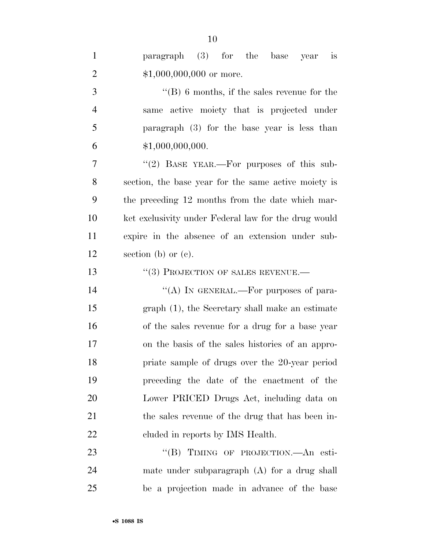| $\mathbf{1}$   | paragraph (3) for the base<br>is<br>year             |
|----------------|------------------------------------------------------|
| $\overline{2}$ | $$1,000,000,000$ or more.                            |
| 3              | $\lq\lq (B)$ 6 months, if the sales revenue for the  |
| $\overline{4}$ | active moiety that is projected under<br>same        |
| 5              | paragraph $(3)$ for the base year is less than       |
| 6              | \$1,000,000,000.                                     |
| 7              | "(2) BASE YEAR.—For purposes of this sub-            |
| 8              | section, the base year for the same active moiety is |
| 9              | the preceding 12 months from the date which mar-     |
| 10             | ket exclusivity under Federal law for the drug would |
| 11             | expire in the absence of an extension under sub-     |
| 12             | section (b) or $(e)$ .                               |
| 13             | $(3)$ PROJECTION OF SALES REVENUE.—                  |
| 14             | "(A) IN GENERAL.—For purposes of para-               |
| 15             | graph (1), the Secretary shall make an estimate      |
| 16             | of the sales revenue for a drug for a base year      |
| 17             | on the basis of the sales histories of an appro-     |
| 18             | priate sample of drugs over the 20-year period       |
| 19             | preceding the date of the enactment of the           |
| 20             | Lower PRICED Drugs Act, including data on            |
| 21             | the sales revenue of the drug that has been in-      |
| 22             | cluded in reports by IMS Health.                     |
| 23             | "(B) TIMING OF PROJECTION.—An esti-                  |
| 24             | mate under subparagraph $(A)$ for a drug shall       |

be a projection made in advance of the base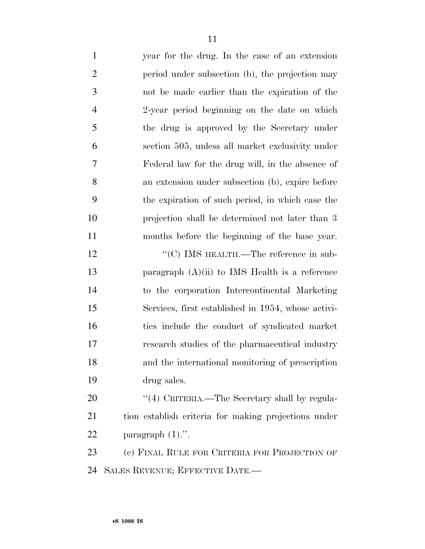| $\mathbf{1}$   | year for the drug. In the case of an extension       |
|----------------|------------------------------------------------------|
| $\overline{c}$ | period under subsection (b), the projection may      |
| $\mathfrak{Z}$ | not be made earlier than the expiration of the       |
| $\overline{4}$ | 2-year period beginning on the date on which         |
| 5              | the drug is approved by the Secretary under          |
| 6              | section 505, unless all market exclusivity under     |
| 7              | Federal law for the drug will, in the absence of     |
| 8              | an extension under subsection (b), expire before     |
| 9              | the expiration of such period, in which case the     |
| 10             | projection shall be determined not later than 3      |
| 11             | months before the beginning of the base year.        |
| 12             | "(C) IMS HEALTH.—The reference in sub-               |
| 13             | paragraph $(A)(ii)$ to IMS Health is a reference     |
| 14             | to the corporation Intercontinental Marketing        |
| 15             | Services, first established in 1954, whose activi-   |
| 16             | ties include the conduct of syndicated market        |
| 17             | research studies of the pharmaceutical industry      |
| 18             | and the international monitoring of prescription     |
| 19             | drug sales.                                          |
| 20             | "(4) CRITERIA.—The Secretary shall by regula-        |
| 21             | tion establish criteria for making projections under |
| 22             | paragraph $(1)$ .".                                  |
| 23             | (c) FINAL RULE FOR CRITERIA FOR PROJECTION OF        |
| 24             | SALES REVENUE; EFFECTIVE DATE.-                      |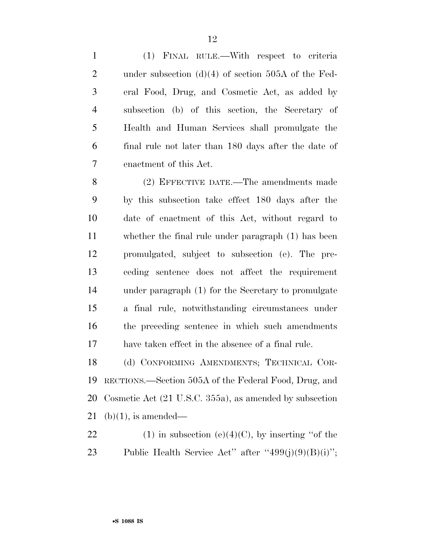(1) FINAL RULE.—With respect to criteria under subsection (d)(4) of section 505A of the Fed- eral Food, Drug, and Cosmetic Act, as added by subsection (b) of this section, the Secretary of Health and Human Services shall promulgate the final rule not later than 180 days after the date of enactment of this Act.

 (2) EFFECTIVE DATE.—The amendments made by this subsection take effect 180 days after the date of enactment of this Act, without regard to whether the final rule under paragraph (1) has been promulgated, subject to subsection (e). The pre- ceding sentence does not affect the requirement under paragraph (1) for the Secretary to promulgate a final rule, notwithstanding circumstances under the preceding sentence in which such amendments have taken effect in the absence of a final rule.

 (d) CONFORMING AMENDMENTS; TECHNICAL COR- RECTIONS.—Section 505A of the Federal Food, Drug, and Cosmetic Act (21 U.S.C. 355a), as amended by subsection 21 (b)(1), is amended—

22 (1) in subsection (e)(4)(C), by inserting "of the 23 Public Health Service Act'' after " $499(j)(9)(B)(i)$ ";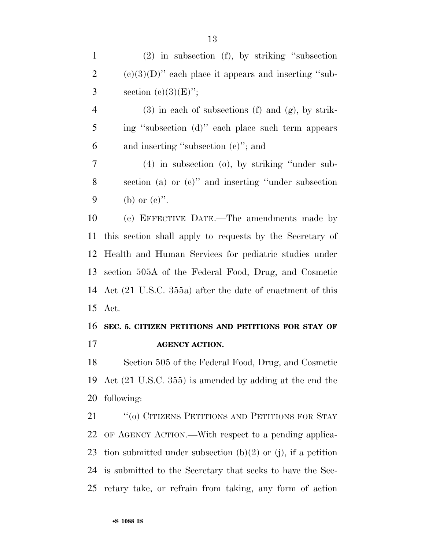4 (3) in each of subsections (f) and  $(g)$ , by strik- ing ''subsection (d)'' each place such term appears and inserting ''subsection (e)''; and

 (4) in subsection (o), by striking ''under sub- section (a) or (c)'' and inserting ''under subsection 9 (b) or  $(e)$ ".

 (e) EFFECTIVE DATE.—The amendments made by this section shall apply to requests by the Secretary of Health and Human Services for pediatric studies under section 505A of the Federal Food, Drug, and Cosmetic Act (21 U.S.C. 355a) after the date of enactment of this Act.

## **SEC. 5. CITIZEN PETITIONS AND PETITIONS FOR STAY OF AGENCY ACTION.**

 Section 505 of the Federal Food, Drug, and Cosmetic Act (21 U.S.C. 355) is amended by adding at the end the following:

21 "(0) CITIZENS PETITIONS AND PETITIONS FOR STAY OF AGENCY ACTION.—With respect to a pending applica-23 tion submitted under subsection  $(b)(2)$  or  $(i)$ , if a petition is submitted to the Secretary that seeks to have the Sec-retary take, or refrain from taking, any form of action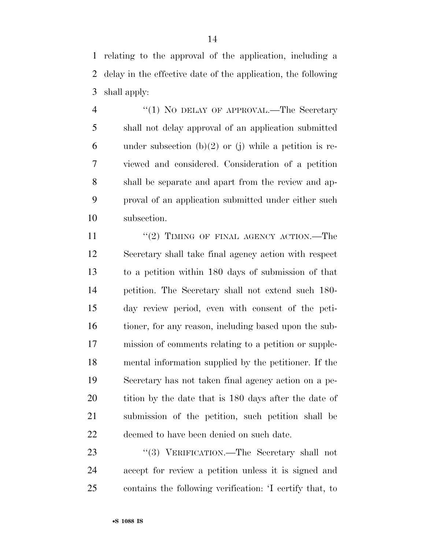relating to the approval of the application, including a delay in the effective date of the application, the following shall apply:

4 "(1) NO DELAY OF APPROVAL.—The Secretary shall not delay approval of an application submitted 6 under subsection  $(b)(2)$  or (j) while a petition is re- viewed and considered. Consideration of a petition shall be separate and apart from the review and ap- proval of an application submitted under either such subsection.

11 ''(2) TIMING OF FINAL AGENCY ACTION.—The Secretary shall take final agency action with respect to a petition within 180 days of submission of that petition. The Secretary shall not extend such 180- day review period, even with consent of the peti- tioner, for any reason, including based upon the sub- mission of comments relating to a petition or supple- mental information supplied by the petitioner. If the Secretary has not taken final agency action on a pe-20 tition by the date that is 180 days after the date of submission of the petition, such petition shall be deemed to have been denied on such date.

23 "(3) VERIFICATION.—The Secretary shall not accept for review a petition unless it is signed and contains the following verification: 'I certify that, to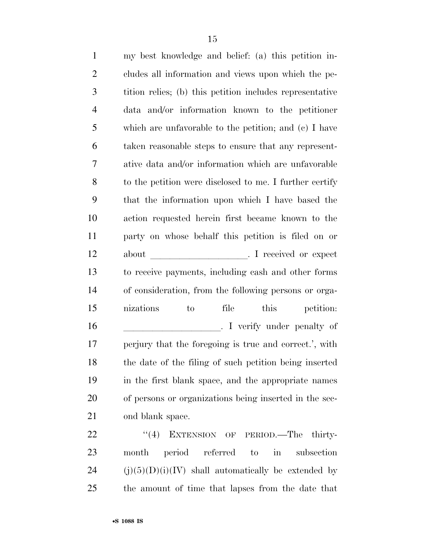| $\mathbf{1}$   | my best knowledge and belief: (a) this petition in-      |
|----------------|----------------------------------------------------------|
| $\mathfrak{2}$ | cludes all information and views upon which the pe-      |
| 3              | tition relies; (b) this petition includes representative |
| $\overline{4}$ | and/or information known to the petitioner<br>data       |
| 5              | which are unfavorable to the petition; and $(c)$ I have  |
| 6              | taken reasonable steps to ensure that any represent-     |
| 7              | ative data and/or information which are unfavorable      |
| 8              | to the petition were disclosed to me. I further certify  |
| 9              | that the information upon which I have based the         |
| 10             | action requested herein first became known to the        |
| 11             | party on whose behalf this petition is filed on or       |
| 12             | I received or expect<br>about                            |
| 13             | to receive payments, including cash and other forms      |
| 14             | of consideration, from the following persons or orga-    |
| 15             | nizations<br>file this<br>petition:<br>to                |
| 16             | I verify under penalty of                                |
| 17             | perjury that the foregoing is true and correct.', with   |
| 18             | the date of the filing of such petition being inserted   |
| 19             | in the first blank space, and the appropriate names      |
| 20             | of persons or organizations being inserted in the sec-   |
| 21             | ond blank space.                                         |
|                |                                                          |

22 "(4) EXTENSION OF PERIOD.—The thirty- month period referred to in subsection 24 (j)(5)(D)(i)(IV) shall automatically be extended by the amount of time that lapses from the date that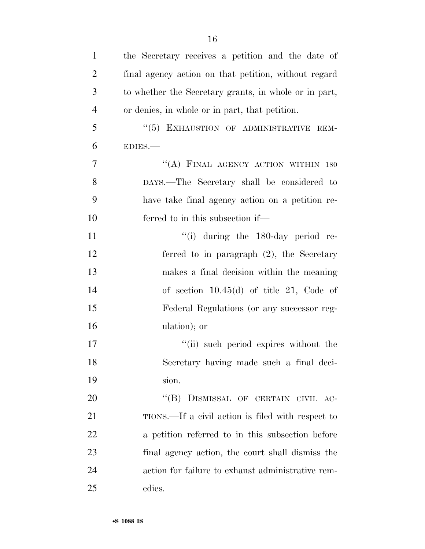| $\mathbf{1}$   | the Secretary receives a petition and the date of     |
|----------------|-------------------------------------------------------|
| $\overline{2}$ | final agency action on that petition, without regard  |
| 3              | to whether the Secretary grants, in whole or in part, |
| $\overline{4}$ | or denies, in whole or in part, that petition.        |
| 5              | "(5) EXHAUSTION OF ADMINISTRATIVE REM-                |
| 6              | EDIES.                                                |
| $\tau$         | "(A) FINAL AGENCY ACTION WITHIN 180                   |
| 8              | DAYS.—The Secretary shall be considered to            |
| 9              | have take final agency action on a petition re-       |
| 10             | ferred to in this subsection if—                      |
| 11             | $\lq\lq$ during the 180-day period re-                |
| 12             | ferred to in paragraph $(2)$ , the Secretary          |
| 13             | makes a final decision within the meaning             |
| 14             | of section $10.45(d)$ of title 21, Code of            |
| 15             | Federal Regulations (or any successor reg-            |
| 16             | ulation); or                                          |
| 17             | "(ii) such period expires without the                 |
| 18             | Secretary having made such a final deci-              |
| 19             | sion.                                                 |
| 20             | "(B) DISMISSAL OF CERTAIN CIVIL AC-                   |
| 21             | TIONS.—If a civil action is filed with respect to     |
| 22             | a petition referred to in this subsection before      |
| 23             | final agency action, the court shall dismiss the      |
| 24             | action for failure to exhaust administrative rem-     |
| 25             | edies.                                                |